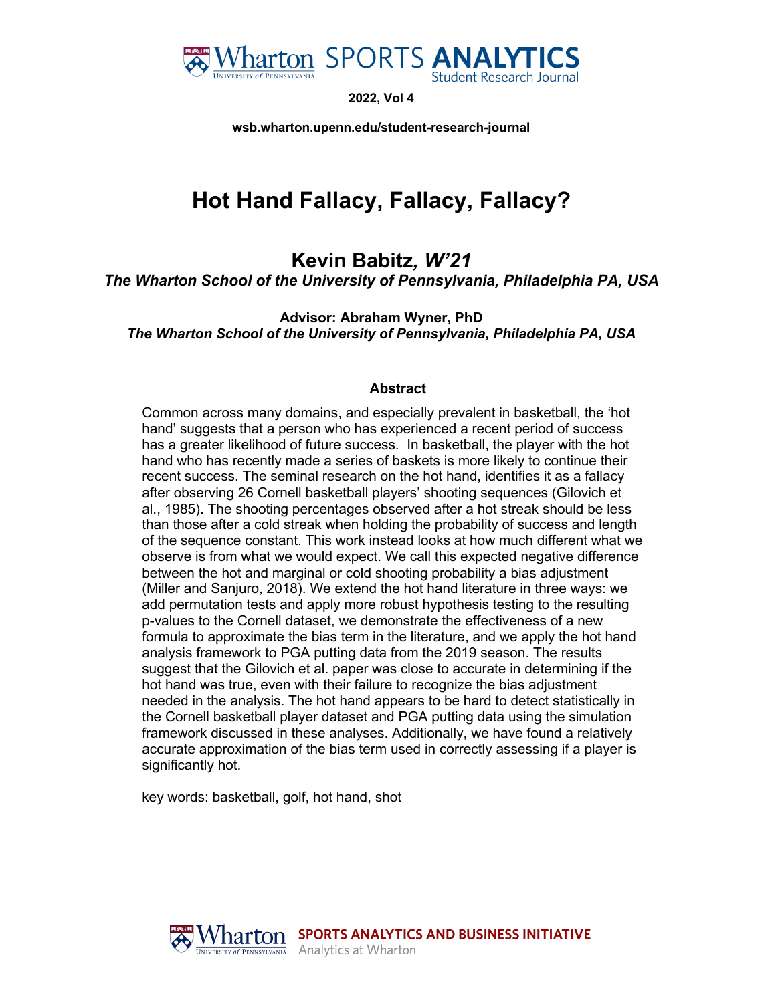

**2022, Vol 4**

**wsb.wharton.upenn.edu/student-research-journal**

# **Hot Hand Fallacy, Fallacy, Fallacy?**

**Kevin Babitz***, W'21*

*The Wharton School of the University of Pennsylvania, Philadelphia PA, USA* 

**Advisor: Abraham Wyner, PhD** *The Wharton School of the University of Pennsylvania, Philadelphia PA, USA*

#### **Abstract**

Common across many domains, and especially prevalent in basketball, the 'hot hand' suggests that a person who has experienced a recent period of success has a greater likelihood of future success. In basketball, the player with the hot hand who has recently made a series of baskets is more likely to continue their recent success. The seminal research on the hot hand, identifies it as a fallacy after observing 26 Cornell basketball players' shooting sequences (Gilovich et al., 1985). The shooting percentages observed after a hot streak should be less than those after a cold streak when holding the probability of success and length of the sequence constant. This work instead looks at how much different what we observe is from what we would expect. We call this expected negative difference between the hot and marginal or cold shooting probability a bias adjustment (Miller and Sanjuro, 2018). We extend the hot hand literature in three ways: we add permutation tests and apply more robust hypothesis testing to the resulting p-values to the Cornell dataset, we demonstrate the effectiveness of a new formula to approximate the bias term in the literature, and we apply the hot hand analysis framework to PGA putting data from the 2019 season. The results suggest that the Gilovich et al. paper was close to accurate in determining if the hot hand was true, even with their failure to recognize the bias adjustment needed in the analysis. The hot hand appears to be hard to detect statistically in the Cornell basketball player dataset and PGA putting data using the simulation framework discussed in these analyses. Additionally, we have found a relatively accurate approximation of the bias term used in correctly assessing if a player is significantly hot.

key words: basketball, golf, hot hand, shot

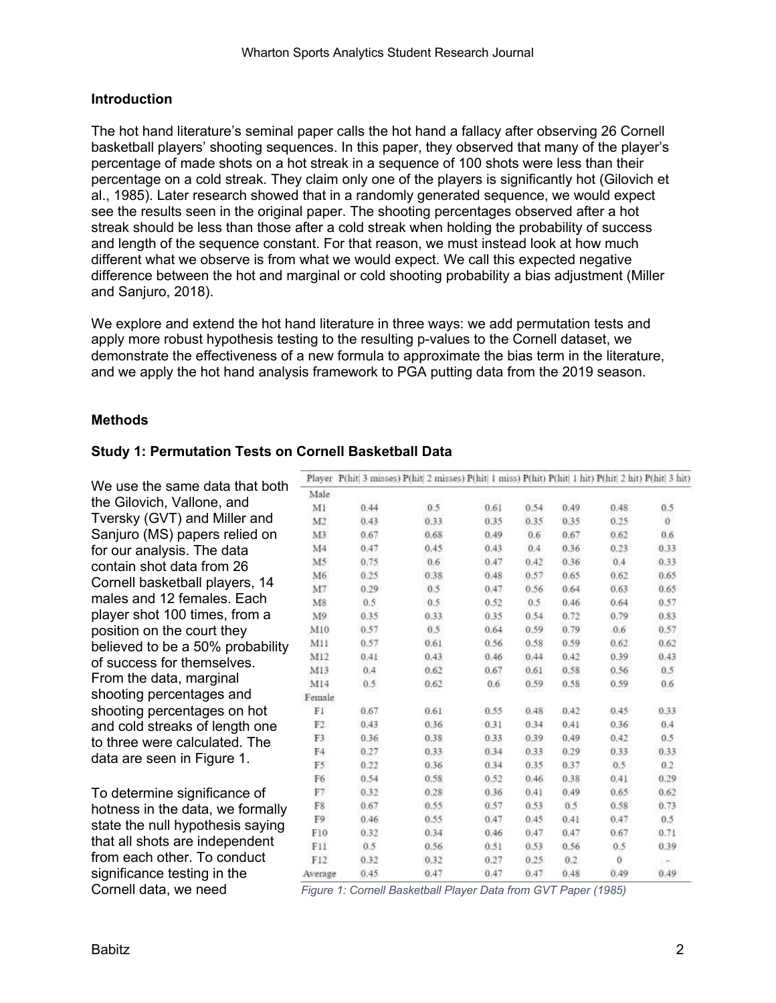#### **Introduction**

The hot hand literature's seminal paper calls the hot hand a fallacy after observing 26 Cornell basketball players' shooting sequences. In this paper, they observed that many of the player's percentage of made shots on a hot streak in a sequence of 100 shots were less than their percentage on a cold streak. They claim only one of the players is significantly hot (Gilovich et al., 1985). Later research showed that in a randomly generated sequence, we would expect see the results seen in the original paper. The shooting percentages observed after a hot streak should be less than those after a cold streak when holding the probability of success and length of the sequence constant. For that reason, we must instead look at how much different what we observe is from what we would expect. We call this expected negative difference between the hot and marginal or cold shooting probability a bias adjustment (Miller and Sanjuro, 2018).

We explore and extend the hot hand literature in three ways: we add permutation tests and apply more robust hypothesis testing to the resulting p-values to the Cornell dataset, we demonstrate the effectiveness of a new formula to approximate the bias term in the literature, and we apply the hot hand analysis framework to PGA putting data from the 2019 season.

#### **Methods**

#### **Study 1: Permutation Tests on Cornell Basketball Data**

We use the same data that both the Gilovich, Vallone, and Tversky (GVT) and Miller and Sanjuro (MS) papers relied on for our analysis. The data contain shot data from 26 Cornell basketball players, 14 males and 12 females. Each player shot 100 times, from a position on the court they believed to be a 50% probability of success for themselves. From the data, marginal shooting percentages and shooting percentages on hot and cold streaks of length one to three were calculated. The data are seen in Figure 1.

To determine significance of hotness in the data, we formally state the null hypothesis saying that all shots are independent from each other. To conduct significance testing in the

|                |      | a final a separately a final m experiency of final a separate final a final a searly final m excel a final o searly |      |      |         |               |                |
|----------------|------|---------------------------------------------------------------------------------------------------------------------|------|------|---------|---------------|----------------|
| Male           |      |                                                                                                                     |      |      |         |               |                |
| MI             | 0.44 | 0.5                                                                                                                 | 0.61 | 0.54 | 0.49    | 0.48          | 0.5            |
| M2             | 0.43 | 0.33.                                                                                                               | 0.35 | 0.35 | 0.35    | 0.25          | $\overline{0}$ |
| M3             | 0.67 | 0.68                                                                                                                | 0.49 | 0.6  | 0.67    | 0.62          | 0.6            |
| M <sub>4</sub> | 0.47 | 0.45                                                                                                                | 0.43 | 0.4  | 0.36    | 0.23          | 0.33           |
| M5             | 0.75 | $0.6^{\circ}$                                                                                                       | 0.47 | 0.42 | 0.36    | 0.4           | 0.33           |
| M6             | 0.25 | 0.38                                                                                                                | 0.48 | 0.57 | 0.65    | 0.62          | 0.65           |
| M7             | 0.29 | 0.5                                                                                                                 | 0.47 | 0.56 | 0.64    | 0.63          | 0.65           |
| M8             | 0.5  | 0.5                                                                                                                 | 0.52 | 0.5  | 0.46    | 0.64          | 0.57           |
| M9:            | 0.35 | 0.33                                                                                                                | 0.35 | 0.54 | 0.72    | 0.79          | 0.83           |
| M10            | 0.57 | 0.5                                                                                                                 | 0.64 | 0.59 | 0.79    | $0.6^{\circ}$ | 0.57           |
| M11            | 0.57 | 0.61                                                                                                                | 0.56 | 0.58 | 0.59    | 0.62          | 0.62           |
| M12            | 0.41 | 0.43                                                                                                                | 0.46 | 0.44 | 0.42    | 0.39          | 0.43           |
| M13            | 0.4  | 0.62                                                                                                                | 0.67 | 0.61 | 0.58    | 0.56          | 0.5            |
| M14            | 0.5  | 0.62                                                                                                                | 0.6  | 0.59 | 0.58    | 0.59          | 0.6            |
| Female         |      |                                                                                                                     |      |      |         |               |                |
| FI             | 0.67 | 0.61                                                                                                                | 0.55 | 0.48 | 0.42    | 0.45          | 0.33           |
| F2             | 0.43 | 0.36.                                                                                                               | 0.31 | 0.34 | 0.41    | 0.36          | 0.4            |
| F3             | 0.36 | 0.38                                                                                                                | 0.33 | 0.39 | 0.49    | 0.42          | 0.5            |
| F4             | 0.27 | 0.33                                                                                                                | 0.34 | 0.33 | 0.29    | 0.33          | 0.33           |
| F5             | 0.22 | 0.36                                                                                                                | 0.34 | 0.35 | 0.37    | 0.5           | 0.2            |
| F6             | 0.54 | 0.58                                                                                                                | 0.52 | 0.46 | 0.38    | 0.41          | 0.29           |
| F7             | 0.32 | 0.28                                                                                                                | 0.36 | 0.41 | 0.49    | 0.65          | 0.62           |
| F8             | 0.67 | 0.55                                                                                                                | 0.57 | 0.53 | 0.5     | 0.58          | 0.73           |
| F9             | 0.46 | 0.55                                                                                                                | 0.47 | 0.45 | 0.41    | 0.47          | 0.5            |
| F10            | 0.32 | 0.34                                                                                                                | 0.46 | 0.47 | 0.47    | 0.67          | 0.71           |
| F11            | 0.5  | 0.56                                                                                                                | 0.51 | 0.53 | 0.56    | 0.5           | 0.39           |
| F12            | 0.32 | 0.32                                                                                                                | 0.27 | 0.25 | $0.2 -$ | ö             | $-1$           |
| Average        | 0.45 | 0.47                                                                                                                | 0.47 | 0.47 | 0.48    | 0.49          | 0.49           |

Player, P/hitl 3 misses) P(hitl 2 misses) P(hitl 1 miss) P(hitl P(hitl 1 hit) P(hitl 2 hit) P(hitl 3 hit)

Cornell data, we need *Figure 1: Cornell Basketball Player Data from GVT Paper (1985)*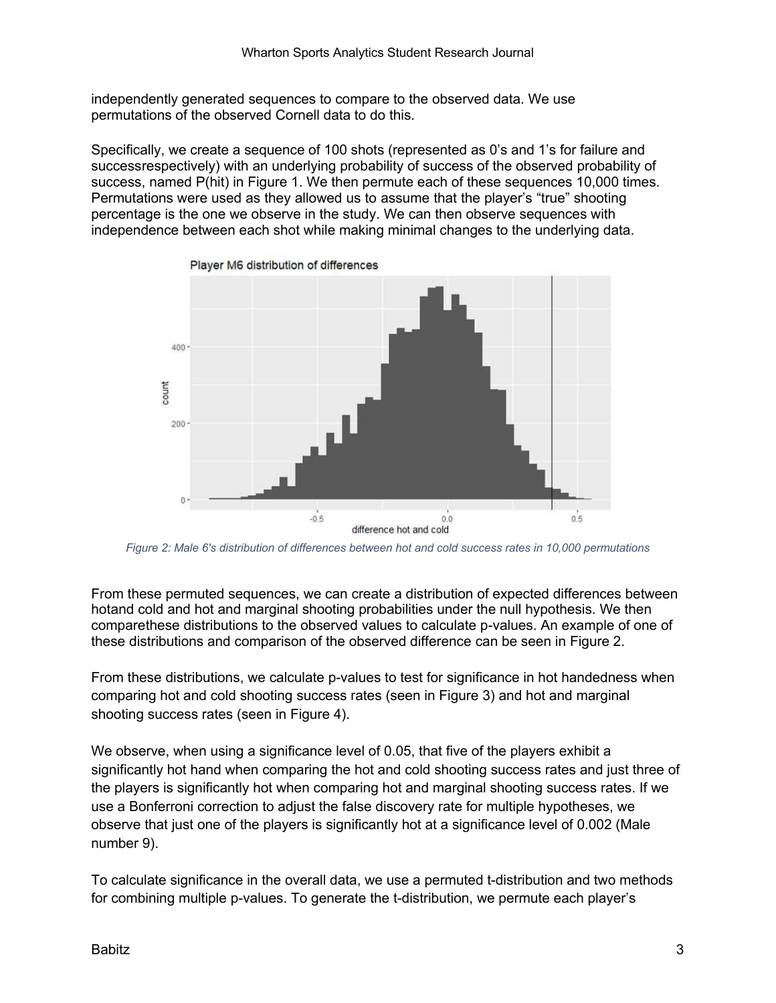independently generated sequences to compare to the observed data. We use permutations of the observed Cornell data to do this.

Specifically, we create a sequence of 100 shots (represented as 0's and 1's for failure and successrespectively) with an underlying probability of success of the observed probability of success, named P(hit) in Figure 1. We then permute each of these sequences 10,000 times. Permutations were used as they allowed us to assume that the player's "true" shooting percentage is the one we observe in the study. We can then observe sequences with independence between each shot while making minimal changes to the underlying data.



*Figure 2: Male 6's distribution of differences between hot and cold success rates in 10,000 permutations*

From these permuted sequences, we can create a distribution of expected differences between hotand cold and hot and marginal shooting probabilities under the null hypothesis. We then comparethese distributions to the observed values to calculate p-values. An example of one of these distributions and comparison of the observed difference can be seen in Figure 2.

From these distributions, we calculate p-values to test for significance in hot handedness when comparing hot and cold shooting success rates (seen in Figure 3) and hot and marginal shooting success rates (seen in Figure 4).

We observe, when using a significance level of 0.05, that five of the players exhibit a significantly hot hand when comparing the hot and cold shooting success rates and just three of the players is significantly hot when comparing hot and marginal shooting success rates. If we use a Bonferroni correction to adjust the false discovery rate for multiple hypotheses, we observe that just one of the players is significantly hot at a significance level of 0.002 (Male number 9).

To calculate significance in the overall data, we use a permuted t-distribution and two methods for combining multiple p-values. To generate the t-distribution, we permute each player's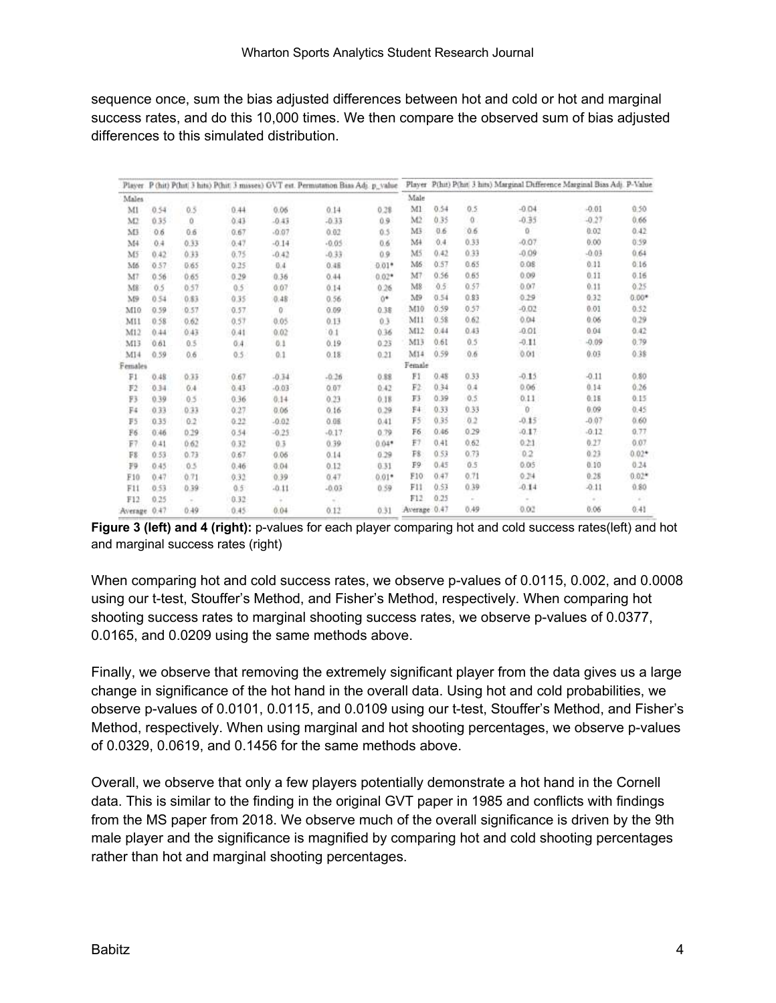sequence once, sum the bias adjusted differences between hot and cold or hot and marginal success rates, and do this 10,000 times. We then compare the observed sum of bias adjusted differences to this simulated distribution.

| Player         |      |      |      |         | P (hit) P(hit) 3 hits) P(hit: 3 misses) GVT est. Permistation Bias Adj. p_value |         |              |      |          | Player P(hit) P(hit) 3 hits) Marginal Difference Marginal Bias Adj. P-Value. |         |         |
|----------------|------|------|------|---------|---------------------------------------------------------------------------------|---------|--------------|------|----------|------------------------------------------------------------------------------|---------|---------|
| Males          |      |      |      |         |                                                                                 |         | Male         |      |          |                                                                              |         |         |
| MI             | 0.54 | 0.5  | 0.44 | 0.06    | 0.14                                                                            | 0.38    | M1           | 0.54 | 0.5      | $-0.04$                                                                      | $-0.01$ | 0.50    |
| M2             | 0.35 | ö    | 0.43 | $-0.43$ | $-0.33$                                                                         | 0.9     | M2           | 0.35 | $\alpha$ | $-0.35$                                                                      | $-0.27$ | 0.66    |
| M              | 0.6  | 0.6  | 0.67 | $-0.07$ | 0.02                                                                            | 0.5     | MB           | 0.6  | 0.6      | ö                                                                            | 0.02    | 0.42    |
| M <sub>4</sub> | 0.4  | 0.33 | 0.47 | $-0.14$ | $-0.05$                                                                         | 0.6     | M            | 0.4  | 0.33     | $-0.07$                                                                      | 0.00    | 0.59    |
| M5             | 0.42 | 0.33 | 0.75 | $-0.42$ | $-0.33$                                                                         | 0.9     | M5           | 0.42 | 0.33     | $-0.09$                                                                      | $-0.03$ | 0.64    |
| M6             | 0.57 | 0.65 | 0.25 | 0.4     | 0.48                                                                            | $0.01*$ | M6           | 0.57 | 0.65     | 0.08                                                                         | 0.11    | 0.16    |
| M7             | 0.56 | 0.65 | 0.29 | 0.36    | 0.44                                                                            | $0.02*$ | M7           | 0.56 | 0.65     | 0.09                                                                         | 0.11    | 0.16    |
| M8             | 0.5  | 0.57 | 0.5  | 0.07    | 0.14                                                                            | 0.26    | M8           | 0.5  | 0.57     | 0.07                                                                         | 0.11    | 0.25    |
| M9             | 0.54 | 0.83 | 0.35 | 0.48    | 0.56                                                                            | $0*$    | M9           | 0.54 | 0.83     | 0.29                                                                         | 0.32    | $0.00*$ |
| M10            | 0.59 | 0.57 | 0.57 | 0       | 0.09                                                                            | 0.38    | M10          | 0.59 | 0.57     | $-0.02$                                                                      | 0.01    | 0.52    |
| MII            | 0.58 | 0.62 | 0.57 | 0.05    | 0.13                                                                            | 0.3     | M11          | 0.58 | 0.62     | 0.04                                                                         | 0.06    | 0.29    |
| M12            | 0.44 | 0.43 | 0.41 | 0.02    | 0.1                                                                             | 0.36    | M12          | 0.44 | 0.43     | $-0.01$                                                                      | 0.04    | 0.42    |
| M13            | 0.61 | 0.5  | 0.4  | 0.1     | 0.19                                                                            | 0.23    | M13          | 0.61 | 0.5      | $-0.11$                                                                      | $-0.09$ | 0.79    |
| M14            | 0.59 | 0.6  | 0.5  | 0.1     | 0.18                                                                            | 0.21    | M14          | 0.59 | 0.6      | 0.01                                                                         | 0.03    | 0.38    |
| Females        |      |      |      |         |                                                                                 |         | Female       |      |          |                                                                              |         |         |
| Fi             | 0.48 | 0.35 | 0.67 | $-0.34$ | $-0.26$                                                                         | 0.88    | FI           | 0.48 | 0.33     | $-0.15$                                                                      | $-0.11$ | 0.80    |
| F2             | 0.34 | 0.4  | 0.43 | $-0.03$ | 0.07                                                                            | 0.42    | F2           | 0.34 | 0.4      | 0.06                                                                         | 0.14    | 0.26    |
| F3             | 0.39 | 0.5  | 0.36 | 0.14    | 0.23                                                                            | 0.18    | T3           | 0.39 | 0.5      | 0.11                                                                         | 0.18    | 0.15    |
| F4             | 0.33 | 0.33 | 0.27 | 0.06    | 0.16                                                                            | 0.29    | F4           | 0.33 | 0.33     | $\delta$                                                                     | 0.09    | 0.45    |
| FS             | 0.35 | 0.2  | 0.22 | $-0.02$ | 0.08                                                                            | 0.41    | F5           | 0.35 | 0.2      | $-0.15$                                                                      | $-0.07$ | 0.60    |
| F6             | 0.46 | 0.19 | 0.54 | $-0.25$ | $-0.17$                                                                         | 0.79    | F6           | 0.46 | 0.29     | $-0.17$                                                                      | $-0.12$ | 0.77    |
| $F$ ?          | 0.41 | 0.62 | 0.32 | 0.3     | 0.39                                                                            | $0.04*$ | F7           | 0.41 | 0.62     | 0.21                                                                         | 0.27    | 0.07    |
| F8             | 0.53 | 0.73 | 0.67 | 0.06    | 0.14                                                                            | 0.29    | P\$          | 0.53 | 0.73     | 0.2                                                                          | 0.23    | $0.02*$ |
| F9             | 0.45 | 0.5  | 0.46 | 0.04    | 0.12                                                                            | 0.31    | F9           | 0.45 | 0.5      | 0.05                                                                         | 0.10    | 0.24    |
| F10            | 0.47 | 0.71 | 0.32 | 0.39    | 0.47                                                                            | $0.01*$ | F10          | 0.47 | 0.71     | 0.24                                                                         | 0.28    | $0.02*$ |
| F11            | 0.53 | 0.39 | 0.5  | $-0.11$ | $-0.03$                                                                         | 0.59    | F11          | 0.53 | 0.39     | $-0.14$                                                                      | $-0.11$ | 0.80    |
| F12            | 0.25 |      | 0.32 |         |                                                                                 |         | F12          | 0.25 | $\sim$   | $\sim$                                                                       | ÷       | ×       |
| Average        | 0.47 | 0.49 | 0.45 | 0.04    | 0.12                                                                            | 0.31    | Average 0.47 |      | 0.49     | 0.02                                                                         | 0.06    | 0.41    |

**Figure 3 (left) and 4 (right):** p-values for each player comparing hot and cold success rates(left) and hot and marginal success rates (right)

When comparing hot and cold success rates, we observe p-values of 0.0115, 0.002, and 0.0008 using our t-test, Stouffer's Method, and Fisher's Method, respectively. When comparing hot shooting success rates to marginal shooting success rates, we observe p-values of 0.0377, 0.0165, and 0.0209 using the same methods above.

Finally, we observe that removing the extremely significant player from the data gives us a large change in significance of the hot hand in the overall data. Using hot and cold probabilities, we observe p-values of 0.0101, 0.0115, and 0.0109 using our t-test, Stouffer's Method, and Fisher's Method, respectively. When using marginal and hot shooting percentages, we observe p-values of 0.0329, 0.0619, and 0.1456 for the same methods above.

Overall, we observe that only a few players potentially demonstrate a hot hand in the Cornell data. This is similar to the finding in the original GVT paper in 1985 and conflicts with findings from the MS paper from 2018. We observe much of the overall significance is driven by the 9th male player and the significance is magnified by comparing hot and cold shooting percentages rather than hot and marginal shooting percentages.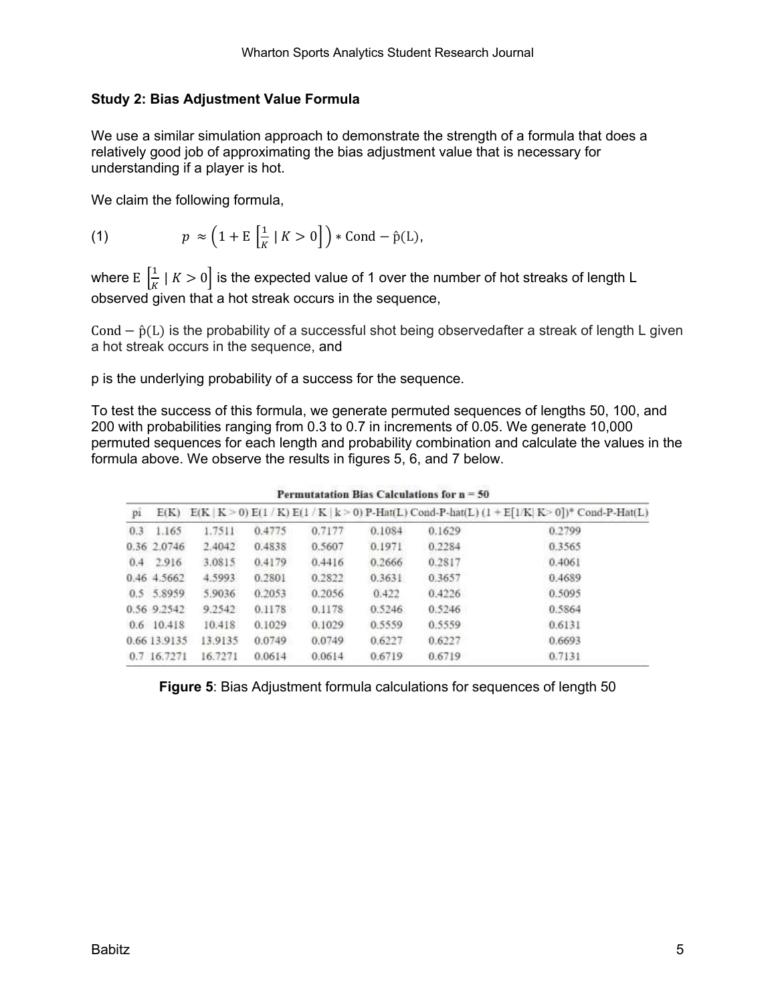#### **Study 2: Bias Adjustment Value Formula**

We use a similar simulation approach to demonstrate the strength of a formula that does a relatively good job of approximating the bias adjustment value that is necessary for understanding if a player is hot.

We claim the following formula,

(1) 
$$
p \approx \left(1 + \mathbb{E}\left[\frac{1}{K} \mid K > 0\right]\right) * \text{Cond} - \hat{p}(L),
$$

where  $\mathop{\rm E}\left[\frac{1}{K}\mid K>0\right]$  is the expected value of 1 over the number of hot streaks of length L observed given that a hot streak occurs in the sequence,

Cond  $-\hat{p}(L)$  is the probability of a successful shot being observedafter a streak of length L given a hot streak occurs in the sequence, and

p is the underlying probability of a success for the sequence.

To test the success of this formula, we generate permuted sequences of lengths 50, 100, and 200 with probabilities ranging from 0.3 to 0.7 in increments of 0.05. We generate 10,000 permuted sequences for each length and probability combination and calculate the values in the formula above. We observe the results in figures 5, 6, and 7 below.

| pi |              |         |        |        |        |        | $E(K)$ $E(K   K > 0) E(1 / K) E(1 / K   k > 0) P-Hat(L) Cond-P-hat(L) (1 + E[1/K   K > 0])$ <sup>*</sup> Cond-P-Hat(L) |  |  |  |
|----|--------------|---------|--------|--------|--------|--------|------------------------------------------------------------------------------------------------------------------------|--|--|--|
|    | $0.3$ 1.165  | 1.7511  | 0.4775 | 0.7177 | 0.1084 | 0.1629 | 0.2799                                                                                                                 |  |  |  |
|    | 0.36 2.0746  | 2.4042  | 0.4838 | 0.5607 | 0.1971 | 0.2284 | 0.3565                                                                                                                 |  |  |  |
|    | $0.4$ 2.916  | 3.0815  | 0.4179 | 0.4416 | 0.2666 | 0.2817 | 0.4061                                                                                                                 |  |  |  |
|    | 0.46 4.5662  | 4.5993  | 0.2801 | 0.2822 | 0.3631 | 0.3657 | 0.4689                                                                                                                 |  |  |  |
|    | 0.5 5.8959   | 5.9036  | 0.2053 | 0.2056 | 0.422  | 0.4226 | 0.5095                                                                                                                 |  |  |  |
|    | 0.56 9.2542  | 9.2542  | 0.1178 | 0.1178 | 0.5246 | 0.5246 | 0.5864                                                                                                                 |  |  |  |
|    | $0.6$ 10.418 | 10.418  | 0.1029 | 0.1029 | 0.5559 | 0.5559 | 0.6131                                                                                                                 |  |  |  |
|    | 0.66 13.9135 | 13.9135 | 0.0749 | 0.0749 | 0.6227 | 0.6227 | 0.6693                                                                                                                 |  |  |  |
|    | 0.7 16.7271  | 16.7271 | 0.0614 | 0.0614 | 0.6719 | 0.6719 | 0.7131                                                                                                                 |  |  |  |
|    |              |         |        |        |        |        |                                                                                                                        |  |  |  |

Permutatation Rias Calculations for  $n = 50$ 

**Figure 5**: Bias Adjustment formula calculations for sequences of length 50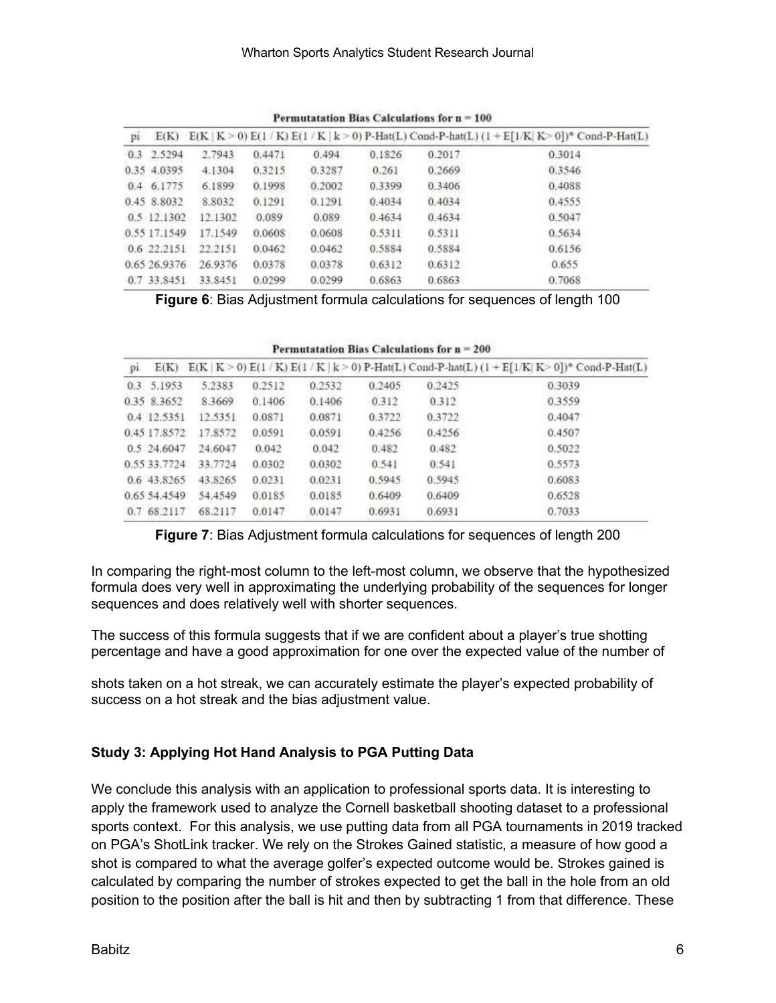| p1 |              |         |        |        |        |        | $E(K)$ $E(K   K > 0) E(1/K) E(1/K   k > 0) P-Hat(L) Cond-P-hat(L) (1 + E[1/K   K > 0])* Cond-P-Hat(L)$ |
|----|--------------|---------|--------|--------|--------|--------|--------------------------------------------------------------------------------------------------------|
|    | 0.3 2.5294   | 2.7943  | 0.4471 | 0.494  | 0.1826 | 0.2017 | 0.3014                                                                                                 |
|    | 0.35 4.0395  | 4.1304  | 0.3215 | 0.3287 | 0.261  | 0.2669 | 0.3546                                                                                                 |
|    | 0.4 6.1775   | 6.1899  | 0.1998 | 0.2002 | 0.3399 | 0.3406 | 0.4088                                                                                                 |
|    | 0.45 8.8032  | 8.8032  | 0.1291 | 0.1291 | 0.4034 | 0.4034 | 0.4555                                                                                                 |
|    | 0.5 12.1302  | 12.1302 | 0.089  | 0.089  | 0.4634 | 0.4634 | 0.5047                                                                                                 |
|    | 0.55 17.1549 | 17.1549 | 0.0608 | 0.0608 | 0.5311 | 0.5311 | 0.5634                                                                                                 |
|    | 0.622.2151   | 22.2151 | 0.0462 | 0.0462 | 0.5884 | 0.5884 | 0.6156                                                                                                 |
|    | 0.65 26.9376 | 26.9376 | 0.0378 | 0.0378 | 0.6312 | 0.6312 | 0.655                                                                                                  |
|    | 0.7 33.8451  | 33.8451 | 0.0299 | 0.0299 | 0.6863 | 0.6863 | 0.7068                                                                                                 |

Permutatation Bias Calculations for  $n = 100$ 

**Figure 6**: Bias Adjustment formula calculations for sequences of length 100

| pi | $E(K)$ $E(K K>0) E(1/K) E(1/K K>0) P-Hat(L) Cond-P-hat(L) (1 + E[1/K K>0])$ <sup>o</sup> Cond-P-Hat(L) |         |        |        |        |        |        |  |  |  |
|----|--------------------------------------------------------------------------------------------------------|---------|--------|--------|--------|--------|--------|--|--|--|
|    | 0.3 5.1953                                                                                             | 5.2383  | 0.2512 | 0.2532 | 0.2405 | 0.2425 | 0.3039 |  |  |  |
|    | 0.35 8.3652                                                                                            | 8.3669  | 0.1406 | 0.1406 | 0.312  | 0.312  | 0.3559 |  |  |  |
|    | 0.4 12.5351                                                                                            | 12.5351 | 0.0871 | 0.0871 | 0.3722 | 0.3722 | 0.4047 |  |  |  |
|    | 0.45 17.8572                                                                                           | 17.8572 | 0.0591 | 0.0591 | 0.4256 | 0.4256 | 0.4507 |  |  |  |
|    | 0.5 24.6047                                                                                            | 24.6047 | 0.042  | 0.042  | 0.482  | 0.482  | 0.5022 |  |  |  |
|    | 0.55 33.7724                                                                                           | 33.7724 | 0.0302 | 0.0302 | 0.541  | 0.541  | 0.5573 |  |  |  |
|    | 0.6 43.8265                                                                                            | 43.8265 | 0.0231 | 0.0231 | 0.5945 | 0.5945 | 0.6083 |  |  |  |
|    | 0.65 54.4549                                                                                           | 54.4549 | 0.0185 | 0.0185 | 0.6409 | 0.6409 | 0.6528 |  |  |  |
|    | 0.7 68.2117                                                                                            | 68.2117 | 0.0147 | 0.0147 | 0.6931 | 0.6931 | 0.7033 |  |  |  |

Permutatation Bias Calculations for  $n = 200$ 

**Figure 7**: Bias Adjustment formula calculations for sequences of length 200

In comparing the right-most column to the left-most column, we observe that the hypothesized formula does very well in approximating the underlying probability of the sequences for longer sequences and does relatively well with shorter sequences.

The success of this formula suggests that if we are confident about a player's true shotting percentage and have a good approximation for one over the expected value of the number of

shots taken on a hot streak, we can accurately estimate the player's expected probability of success on a hot streak and the bias adjustment value.

### **Study 3: Applying Hot Hand Analysis to PGA Putting Data**

We conclude this analysis with an application to professional sports data. It is interesting to apply the framework used to analyze the Cornell basketball shooting dataset to a professional sports context. For this analysis, we use putting data from all PGA tournaments in 2019 tracked on PGA's ShotLink tracker. We rely on the Strokes Gained statistic, a measure of how good a shot is compared to what the average golfer's expected outcome would be. Strokes gained is calculated by comparing the number of strokes expected to get the ball in the hole from an old position to the position after the ball is hit and then by subtracting 1 from that difference. These